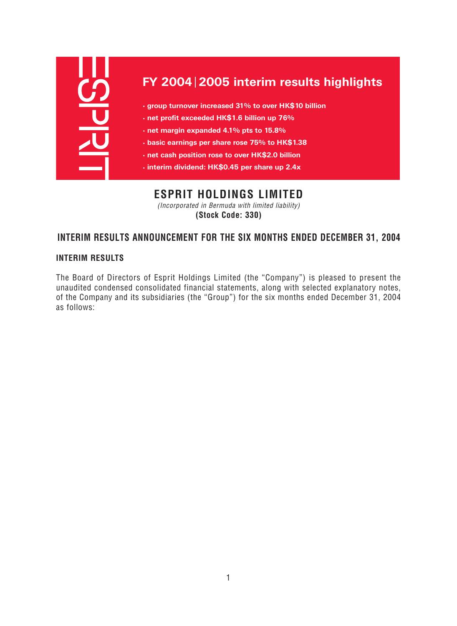| FY 2004 2005 interim results highlights               |
|-------------------------------------------------------|
| • group turnover increased 31% to over HK\$10 billion |
| · net profit exceeded HK\$1.6 billion up 76%          |
| . net margin expanded 4.1% pts to 15.8%               |
| • basic earnings per share rose 75% to HK\$1.38       |
| • net cash position rose to over HK\$2.0 billion      |
| · interim dividend: HK\$0.45 per share up 2.4x        |

# **ESPRIT HOLDINGS LIMITED**

(Incorporated in Bermuda with limited liability) **(Stock Code: 330)**

# **INTERIM RESULTS ANNOUNCEMENT FOR THE SIX MONTHS ENDED DECEMBER 31, 2004**

# **INTERIM RESULTS**

The Board of Directors of Esprit Holdings Limited (the "Company") is pleased to present the unaudited condensed consolidated financial statements, along with selected explanatory notes, of the Company and its subsidiaries (the "Group") for the six months ended December 31, 2004 as follows: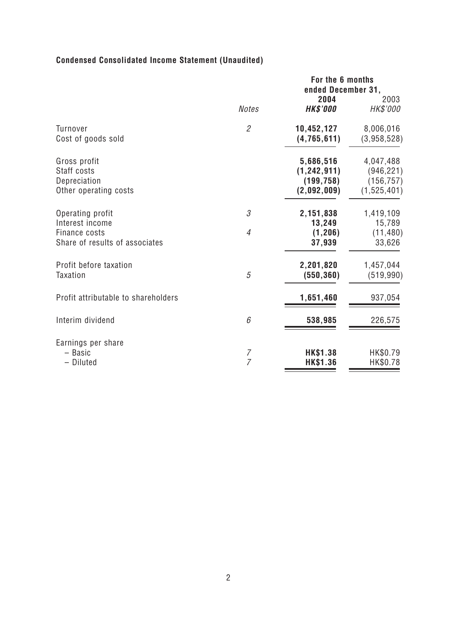# **Condensed Consolidated Income Statement (Unaudited)**

|                                                                                        |                                  | For the 6 months<br>ended December 31,                  |                                                      |
|----------------------------------------------------------------------------------------|----------------------------------|---------------------------------------------------------|------------------------------------------------------|
|                                                                                        | <b>Notes</b>                     | 2004<br><b>HK\$'000</b>                                 | 2003<br>HK\$'000                                     |
| <b>Turnover</b><br>Cost of goods sold                                                  | $\mathfrak{2}$                   | 10,452,127<br>(4,765,611)                               | 8,006,016<br>(3,958,528)                             |
| Gross profit<br>Staff costs<br>Depreciation<br>Other operating costs                   |                                  | 5,686,516<br>(1, 242, 911)<br>(199, 758)<br>(2,092,009) | 4,047,488<br>(946, 221)<br>(156, 757)<br>(1,525,401) |
| Operating profit<br>Interest income<br>Finance costs<br>Share of results of associates | 3<br>$\overline{4}$              | 2,151,838<br>13,249<br>(1, 206)<br>37,939               | 1,419,109<br>15,789<br>(11, 480)<br>33,626           |
| Profit before taxation<br><b>Taxation</b>                                              | 5                                | 2,201,820<br>(550, 360)                                 | 1,457,044<br>(519, 990)                              |
| Profit attributable to shareholders                                                    |                                  | 1,651,460                                               | 937,054                                              |
| Interim dividend                                                                       | 6                                | 538,985                                                 | 226,575                                              |
| Earnings per share<br>- Basic<br>- Diluted                                             | $\overline{7}$<br>$\overline{7}$ | <b>HK\$1.38</b><br><b>HK\$1.36</b>                      | HK\$0.79<br>HK\$0.78                                 |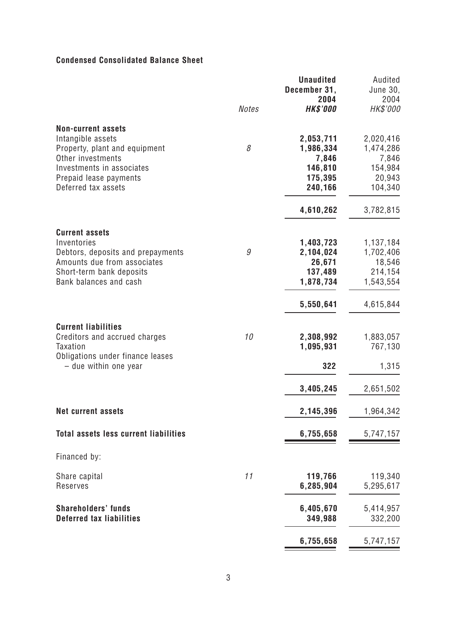# **Condensed Consolidated Balance Sheet**

|                                                                                                                                                                                    | <b>Notes</b> | <b>Unaudited</b><br>December 31,<br>2004<br><b>HK\$'000</b>           | Audited<br><b>June 30,</b><br>2004<br>HK\$'000                        |
|------------------------------------------------------------------------------------------------------------------------------------------------------------------------------------|--------------|-----------------------------------------------------------------------|-----------------------------------------------------------------------|
| <b>Non-current assets</b><br>Intangible assets<br>Property, plant and equipment<br>Other investments<br>Investments in associates<br>Prepaid lease payments<br>Deferred tax assets | 8            | 2,053,711<br>1,986,334<br>7,846<br>146,810<br>175,395<br>240,166      | 2,020,416<br>1,474,286<br>7,846<br>154,984<br>20,943<br>104,340       |
| <b>Current assets</b><br>Inventories<br>Debtors, deposits and prepayments<br>Amounts due from associates<br>Short-term bank deposits<br>Bank balances and cash                     | 9            | 4,610,262<br>1,403,723<br>2,104,024<br>26,671<br>137,489<br>1,878,734 | 3,782,815<br>1,137,184<br>1,702,406<br>18,546<br>214,154<br>1,543,554 |
| <b>Current liabilities</b><br>Creditors and accrued charges<br><b>Taxation</b><br>Obligations under finance leases                                                                 | 10           | 5,550,641<br>2,308,992<br>1,095,931                                   | 4,615,844<br>1,883,057<br>767,130                                     |
| - due within one year<br><b>Net current assets</b>                                                                                                                                 |              | 322<br>3,405,245<br>2,145,396                                         | 1,315<br>2,651,502<br>1,964,342                                       |
| <b>Total assets less current liabilities</b><br>Financed by:                                                                                                                       |              | 6,755,658                                                             | 5,747,157                                                             |
| Share capital<br>Reserves                                                                                                                                                          | 11           | 119,766<br>6,285,904                                                  | 119,340<br>5,295,617                                                  |
| <b>Shareholders' funds</b><br><b>Deferred tax liabilities</b>                                                                                                                      |              | 6,405,670<br>349,988                                                  | 5,414,957<br>332,200                                                  |
|                                                                                                                                                                                    |              | 6,755,658                                                             | 5,747,157                                                             |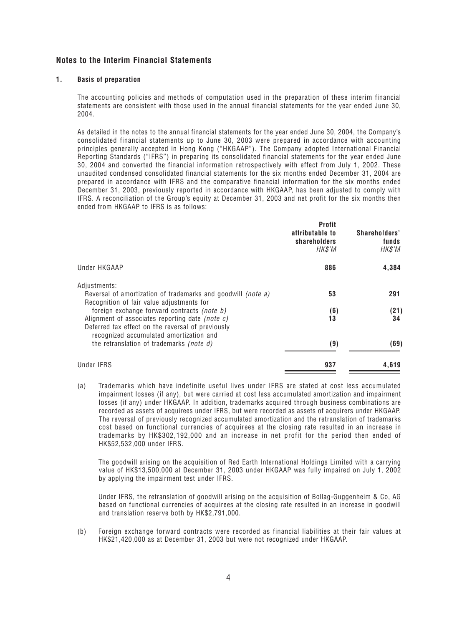#### **Notes to the Interim Financial Statements**

#### **1. Basis of preparation**

The accounting policies and methods of computation used in the preparation of these interim financial statements are consistent with those used in the annual financial statements for the year ended June 30, 2004.

As detailed in the notes to the annual financial statements for the year ended June 30, 2004, the Company's consolidated financial statements up to June 30, 2003 were prepared in accordance with accounting principles generally accepted in Hong Kong ("HKGAAP"). The Company adopted International Financial Reporting Standards ("IFRS") in preparing its consolidated financial statements for the year ended June 30, 2004 and converted the financial information retrospectively with effect from July 1, 2002. These unaudited condensed consolidated financial statements for the six months ended December 31, 2004 are prepared in accordance with IFRS and the comparative financial information for the six months ended December 31, 2003, previously reported in accordance with HKGAAP, has been adjusted to comply with IFRS. A reconciliation of the Group's equity at December 31, 2003 and net profit for the six months then ended from HKGAAP to IFRS is as follows:

|                                                                                                                                                                   | <b>Profit</b><br>attributable to<br>shareholders<br>HK\$'M | Shareholders'<br>funds<br>HK\$'M |
|-------------------------------------------------------------------------------------------------------------------------------------------------------------------|------------------------------------------------------------|----------------------------------|
| Under HKGAAP                                                                                                                                                      | 886                                                        | 4,384                            |
| Adjustments:<br>Reversal of amortization of trademarks and goodwill <i>(note a)</i><br>Recognition of fair value adjustments for                                  | 53                                                         | 291                              |
| foreign exchange forward contracts <i>(note b)</i><br>Alignment of associates reporting date <i>(note c)</i><br>Deferred tax effect on the reversal of previously | (6)<br>13                                                  | (21)<br>34                       |
| recognized accumulated amortization and<br>the retranslation of trademarks <i>(note d)</i>                                                                        | (9)                                                        | (69)                             |
| Under IFRS                                                                                                                                                        | 937                                                        | 4,619                            |

(a) Trademarks which have indefinite useful lives under IFRS are stated at cost less accumulated impairment losses (if any), but were carried at cost less accumulated amortization and impairment losses (if any) under HKGAAP. In addition, trademarks acquired through business combinations are recorded as assets of acquirees under IFRS, but were recorded as assets of acquirers under HKGAAP. The reversal of previously recognized accumulated amortization and the retranslation of trademarks cost based on functional currencies of acquirees at the closing rate resulted in an increase in trademarks by HK\$302,192,000 and an increase in net profit for the period then ended of HK\$52,532,000 under IFRS.

The goodwill arising on the acquisition of Red Earth International Holdings Limited with a carrying value of HK\$13,500,000 at December 31, 2003 under HKGAAP was fully impaired on July 1, 2002 by applying the impairment test under IFRS.

Under IFRS, the retranslation of goodwill arising on the acquisition of Bollag-Guggenheim & Co, AG based on functional currencies of acquirees at the closing rate resulted in an increase in goodwill and translation reserve both by HK\$2,791,000.

(b) Foreign exchange forward contracts were recorded as financial liabilities at their fair values at HK\$21,420,000 as at December 31, 2003 but were not recognized under HKGAAP.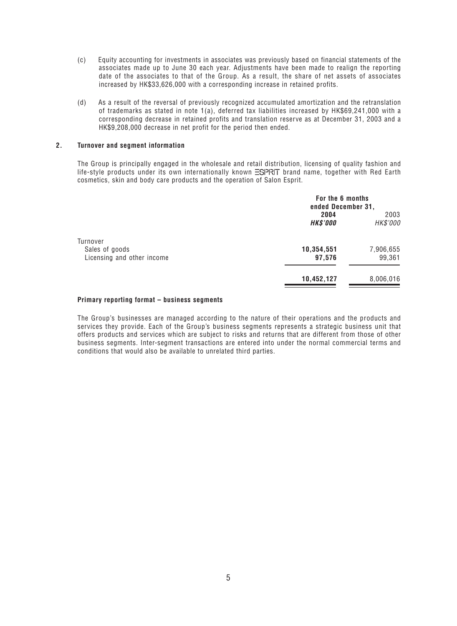- (c) Equity accounting for investments in associates was previously based on financial statements of the associates made up to June 30 each year. Adjustments have been made to realign the reporting date of the associates to that of the Group. As a result, the share of net assets of associates increased by HK\$33,626,000 with a corresponding increase in retained profits.
- (d) As a result of the reversal of previously recognized accumulated amortization and the retranslation of trademarks as stated in note 1(a), deferred tax liabilities increased by HK\$69,241,000 with a corresponding decrease in retained profits and translation reserve as at December 31, 2003 and a HK\$9,208,000 decrease in net profit for the period then ended.

#### **2. Turnover and segment information**

The Group is principally engaged in the wholesale and retail distribution, licensing of quality fashion and life-style products under its own internationally known  $\Xi$ SPRIT brand name, together with Red Earth cosmetics, skin and body care products and the operation of Salon Esprit.

|                            | For the 6 months<br>ended December 31, |                  |
|----------------------------|----------------------------------------|------------------|
|                            | 2004<br><b>HK\$'000</b>                | 2003<br>HK\$'000 |
| Turnover<br>Sales of goods | 10,354,551                             | 7,906,655        |
| Licensing and other income | 97,576                                 | 99,361           |
|                            | 10,452,127                             | 8,006,016        |

#### **Primary reporting format – business segments**

The Group's businesses are managed according to the nature of their operations and the products and services they provide. Each of the Group's business segments represents a strategic business unit that offers products and services which are subject to risks and returns that are different from those of other business segments. Inter-segment transactions are entered into under the normal commercial terms and conditions that would also be available to unrelated third parties.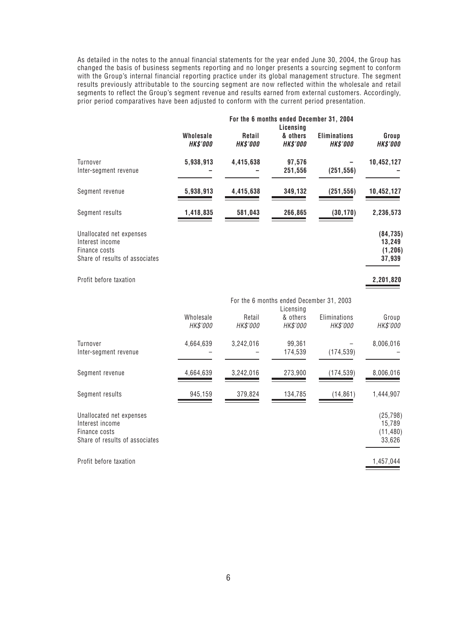As detailed in the notes to the annual financial statements for the year ended June 30, 2004, the Group has changed the basis of business segments reporting and no longer presents a sourcing segment to conform with the Group's internal financial reporting practice under its global management structure. The segment results previously attributable to the sourcing segment are now reflected within the wholesale and retail segments to reflect the Group's segment revenue and results earned from external customers. Accordingly, prior period comparatives have been adjusted to conform with the current period presentation.

|                                                                                                |                              |                           | For the 6 months ended December 31, 2004<br>Licensing |                                        |                                            |
|------------------------------------------------------------------------------------------------|------------------------------|---------------------------|-------------------------------------------------------|----------------------------------------|--------------------------------------------|
|                                                                                                | Wholesale<br><b>HK\$'000</b> | Retail<br><b>HK\$'000</b> | & others<br><b>HK\$'000</b>                           | <b>Eliminations</b><br><b>HK\$'000</b> | Group<br><b>HK\$'000</b>                   |
| Turnover<br>Inter-segment revenue                                                              | 5,938,913                    | 4,415,638                 | 97,576<br>251,556                                     | (251, 556)                             | 10,452,127                                 |
| Segment revenue                                                                                | 5,938,913                    | 4,415,638                 | 349,132                                               | (251, 556)                             | 10,452,127                                 |
| Segment results                                                                                | 1,418,835                    | 581,043                   | 266,865                                               | (30, 170)                              | 2,236,573                                  |
| Unallocated net expenses<br>Interest income<br>Finance costs<br>Share of results of associates |                              |                           |                                                       |                                        | (84, 735)<br>13,249<br>(1, 206)<br>37,939  |
| Profit before taxation                                                                         |                              |                           |                                                       |                                        | 2,201,820                                  |
|                                                                                                |                              |                           | For the 6 months ended December 31, 2003<br>Licensing |                                        |                                            |
|                                                                                                | Wholesale<br>HK\$'000        | Retail<br>HK\$'000        | & others<br>HK\$'000                                  | Eliminations<br>HK\$'000               | Group<br>HK\$'000                          |
| Turnover<br>Inter-segment revenue                                                              | 4,664,639                    | 3,242,016                 | 99,361<br>174,539                                     | (174, 539)                             | 8,006,016                                  |
| Segment revenue                                                                                | 4,664,639                    | 3,242,016                 | 273,900                                               | (174, 539)                             | 8,006,016                                  |
| Segment results                                                                                | 945,159                      | 379,824                   | 134,785                                               | (14, 861)                              | 1,444,907                                  |
| Unallocated net expenses<br>Interest income<br>Finance costs<br>Share of results of associates |                              |                           |                                                       |                                        | (25, 798)<br>15,789<br>(11, 480)<br>33,626 |
| Profit before taxation                                                                         |                              |                           |                                                       |                                        | 1,457,044                                  |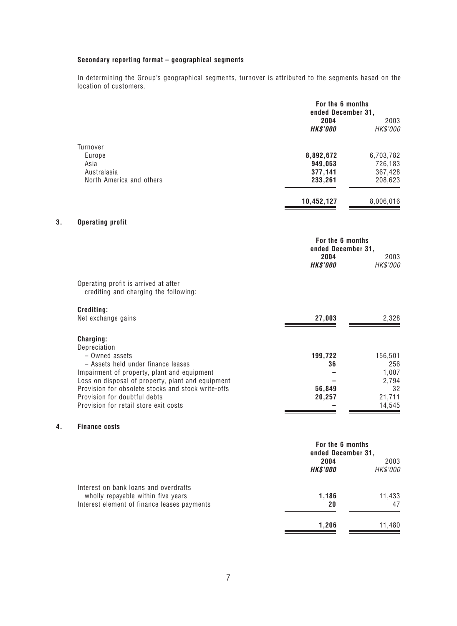#### **Secondary reporting format – geographical segments**

In determining the Group's geographical segments, turnover is attributed to the segments based on the location of customers.

|    |                                                                                    | For the 6 months<br>ended December 31, |                  |
|----|------------------------------------------------------------------------------------|----------------------------------------|------------------|
|    |                                                                                    | 2004                                   | 2003             |
|    |                                                                                    | <b>HK\$'000</b>                        | HK\$'000         |
|    | Turnover                                                                           |                                        |                  |
|    | Europe                                                                             | 8,892,672                              | 6,703,782        |
|    | Asia                                                                               | 949,053                                | 726,183          |
|    | Australasia                                                                        | 377,141                                | 367,428          |
|    | North America and others                                                           | 233,261                                | 208,623          |
|    |                                                                                    | 10,452,127                             | 8,006,016        |
| 3. | <b>Operating profit</b>                                                            |                                        |                  |
|    |                                                                                    | For the 6 months                       |                  |
|    |                                                                                    | ended December 31,                     |                  |
|    |                                                                                    | 2004<br><b>HK\$'000</b>                | 2003<br>HK\$'000 |
|    | Operating profit is arrived at after<br>crediting and charging the following:      |                                        |                  |
|    | Crediting:                                                                         |                                        |                  |
|    | Net exchange gains                                                                 | 27,003                                 | 2,328            |
|    | Charging:                                                                          |                                        |                  |
|    | Depreciation                                                                       |                                        |                  |
|    | - Owned assets                                                                     | 199,722                                | 156,501          |
|    | - Assets held under finance leases                                                 | 36                                     | 256              |
|    | Impairment of property, plant and equipment                                        |                                        | 1,007            |
|    | Loss on disposal of property, plant and equipment                                  |                                        | 2,794            |
|    | Provision for obsolete stocks and stock write-offs<br>Provision for doubtful debts | 56,849                                 | 32<br>21,711     |
|    | Provision for retail store exit costs                                              | 20,257                                 | 14,545           |
| 4. | <b>Finance costs</b>                                                               |                                        |                  |
|    |                                                                                    | For the 6 months                       |                  |
|    |                                                                                    | ended December 31,                     |                  |
|    |                                                                                    | 2004                                   | 2003             |
|    |                                                                                    | <b>HK\$'000</b>                        | HK\$'000         |
|    | Interest on bank loans and overdrafts                                              | 1,186                                  |                  |
|    | wholly repayable within five years<br>Interest element of finance leases payments  | 20                                     | 11,433<br>47     |
|    |                                                                                    |                                        |                  |

**1,206** 11,480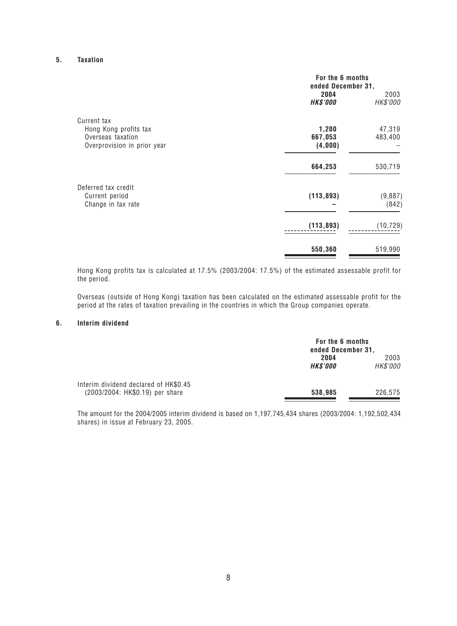#### **5. Taxation**

|                             | For the 6 months<br>ended December 31, |                  |
|-----------------------------|----------------------------------------|------------------|
|                             | 2004<br><b>HK\$'000</b>                | 2003<br>HK\$'000 |
| Current tax                 |                                        |                  |
| Hong Kong profits tax       | 1,200                                  | 47,319           |
| Overseas taxation           | 667,053                                | 483,400          |
| Overprovision in prior year | (4,000)                                |                  |
|                             | 664,253                                | 530,719          |
| Deferred tax credit         |                                        |                  |
| Current period              | (113, 893)                             | (9,887)          |
| Change in tax rate          |                                        | (842)            |
|                             | (113, 893)                             | (10, 729)        |
|                             | 550,360                                | 519,990          |
|                             |                                        |                  |

Hong Kong profits tax is calculated at 17.5% (2003/2004: 17.5%) of the estimated assessable profit for the period.

Overseas (outside of Hong Kong) taxation has been calculated on the estimated assessable profit for the period at the rates of taxation prevailing in the countries in which the Group companies operate.

#### **6. Interim dividend**

|                                                                          | For the 6 months<br>ended December 31, |                  |
|--------------------------------------------------------------------------|----------------------------------------|------------------|
|                                                                          | 2004<br><b>HK\$'000</b>                | 2003<br>HK\$'000 |
| Interim dividend declared of HK\$0.45<br>(2003/2004: HK\$0.19) per share | 538,985                                | 226,575          |

The amount for the 2004/2005 interim dividend is based on 1,197,745,434 shares (2003/2004: 1,192,502,434 shares) in issue at February 23, 2005.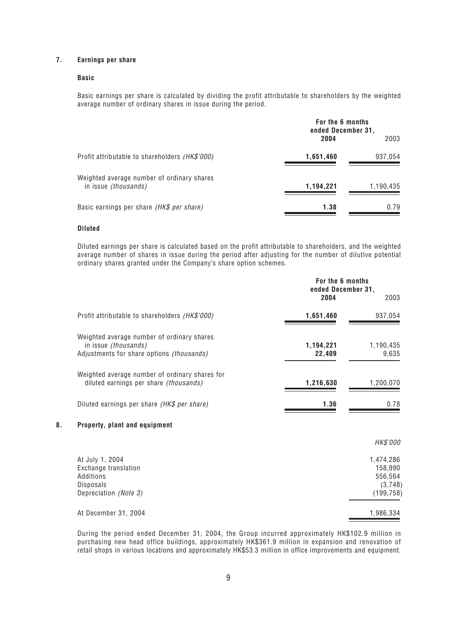#### **7. Earnings per share**

#### **Basic**

Basic earnings per share is calculated by dividing the profit attributable to shareholders by the weighted average number of ordinary shares in issue during the period.

|                                                                    | For the 6 months<br>ended December 31, |           |
|--------------------------------------------------------------------|----------------------------------------|-----------|
|                                                                    | 2004                                   | 2003      |
| Profit attributable to shareholders <i>(HK\$'000)</i>              | 1,651,460                              | 937,054   |
| Weighted average number of ordinary shares<br>in issue (thousands) | 1,194,221                              | 1,190,435 |
| Basic earnings per share (HK\$ per share)                          | 1.38                                   | 0.79      |

#### **Diluted**

Diluted earnings per share is calculated based on the profit attributable to shareholders, and the weighted average number of shares in issue during the period after adjusting for the number of dilutive potential ordinary shares granted under the Company's share option schemes.

|                                                                                                                 | For the 6 months<br>ended December 31, |                                                          |
|-----------------------------------------------------------------------------------------------------------------|----------------------------------------|----------------------------------------------------------|
|                                                                                                                 | 2004                                   | 2003                                                     |
| Profit attributable to shareholders (HK\$'000)                                                                  | 1,651,460                              | 937,054                                                  |
| Weighted average number of ordinary shares<br>in issue (thousands)<br>Adjustments for share options (thousands) | 1,194,221<br>22,409                    | 1,190,435<br>9,635                                       |
| Weighted average number of ordinary shares for<br>diluted earnings per share (thousands)                        | 1,216,630                              | 1,200,070                                                |
| Diluted earnings per share (HK\$ per share)                                                                     | 1.36                                   | 0.78                                                     |
| 8.<br>Property, plant and equipment                                                                             |                                        |                                                          |
|                                                                                                                 |                                        | <i>HK\$'000</i>                                          |
| At July 1, 2004<br>Exchange translation<br>Additions<br>Disposals<br>Depreciation (Note 3)                      |                                        | 1,474,286<br>158,990<br>556,564<br>(3,748)<br>(199, 758) |
| At December 31, 2004                                                                                            |                                        | 1,986,334                                                |

During the period ended December 31, 2004, the Group incurred approximately HK\$102.9 million in purchasing new head office buildings, approximately HK\$361.9 million in expansion and renovation of retail shops in various locations and approximately HK\$53.3 million in office improvements and equipment.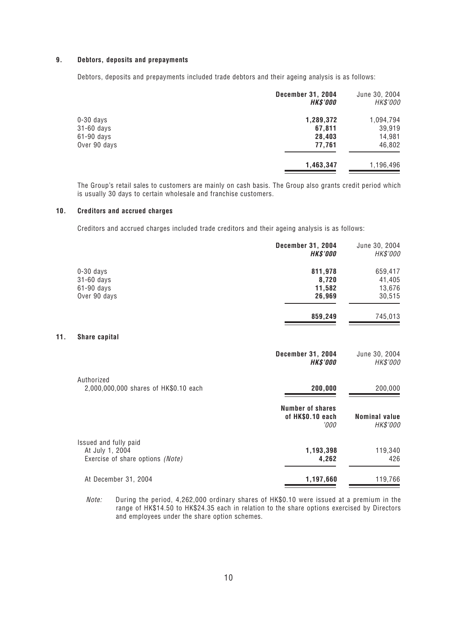#### **9. Debtors, deposits and prepayments**

Debtors, deposits and prepayments included trade debtors and their ageing analysis is as follows:

|              | <b>December 31, 2004</b><br><b>HK\$'000</b> | June 30, 2004<br>HK\$'000 |
|--------------|---------------------------------------------|---------------------------|
| $0-30$ days  | 1,289,372                                   | 1,094,794                 |
| 31-60 days   | 67,811                                      | 39,919                    |
| 61-90 days   | 28,403                                      | 14,981                    |
| Over 90 days | 77,761                                      | 46,802                    |
|              | 1,463,347                                   | 1,196,496                 |

The Group's retail sales to customers are mainly on cash basis. The Group also grants credit period which is usually 30 days to certain wholesale and franchise customers.

#### **10. Creditors and accrued charges**

**11.** 

Creditors and accrued charges included trade creditors and their ageing analysis is as follows:

|                                                     | <b>December 31, 2004</b><br><b>HK\$'000</b>         | June 30, 2004<br>HK\$'000        |
|-----------------------------------------------------|-----------------------------------------------------|----------------------------------|
| $0-30$ days<br>31-60 days                           | 811,978<br>8,720                                    | 659,417<br>41,405                |
| 61-90 days                                          | 11,582                                              | 13,676                           |
| Over 90 days                                        | 26,969                                              | 30,515                           |
|                                                     | 859,249                                             | 745,013                          |
| Share capital                                       |                                                     |                                  |
|                                                     | <b>December 31, 2004</b><br><b>HK\$'000</b>         | June 30, 2004<br>HK\$'000        |
| Authorized<br>2,000,000,000 shares of HK\$0.10 each | 200,000                                             | 200,000                          |
|                                                     | <b>Number of shares</b><br>of HK\$0.10 each<br>'000 | <b>Nominal value</b><br>HK\$'000 |
| Issued and fully paid<br>At July 1, 2004            | 1,193,398                                           | 119,340                          |
| Exercise of share options (Note)                    | 4,262                                               | 426                              |
| At December 31, 2004                                | 1,197,660                                           | 119,766                          |

Note: During the period, 4,262,000 ordinary shares of HK\$0.10 were issued at a premium in the range of HK\$14.50 to HK\$24.35 each in relation to the share options exercised by Directors and employees under the share option schemes.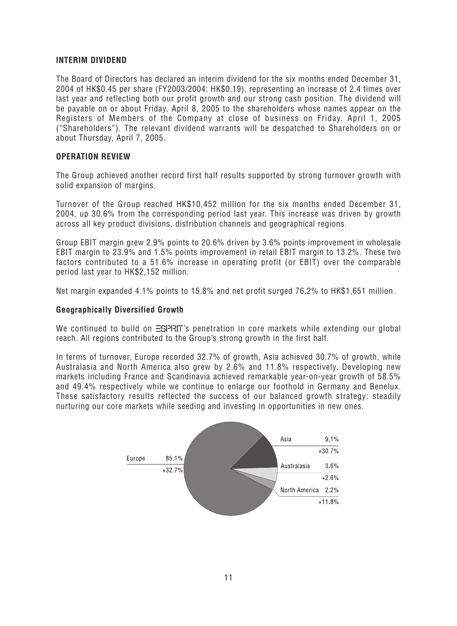#### **INTERIM DIVIDEND**

The Board of Directors has declared an interim dividend for the six months ended December 31, 2004 of HK\$0.45 per share (FY2003/2004: HK\$0.19), representing an increase of 2.4 times over last year and reflecting both our profit growth and our strong cash position. The dividend will be payable on or about Friday, April 8, 2005 to the shareholders whose names appear on the Registers of Members of the Company at close of business on Friday, April 1, 2005 ("Shareholders"). The relevant dividend warrants will be despatched to Shareholders on or about Thursday, April 7, 2005.

#### **OPERATION REVIEW**

The Group achieved another record first half results supported by strong turnover growth with solid expansion of margins.

Turnover of the Group reached HK\$10,452 million for the six months ended December 31, 2004, up 30.6% from the corresponding period last year. This increase was driven by growth across all key product divisions, distribution channels and geographical regions.

Group EBIT margin grew 2.9% points to 20.6% driven by 3.6% points improvement in wholesale EBIT margin to 23.9% and 1.5% points improvement in retail EBIT margin to 13.2%. These two factors contributed to a 51.6% increase in operating profit (or EBIT) over the comparable period last year to HK\$2,152 million.

Net margin expanded 4.1% points to 15.8% and net profit surged 76.2% to HK\$1,651 million.

#### **Geographically Diversified Growth**

We continued to build on  $\Xi$ SPRIT's penetration in core markets while extending our global reach. All regions contributed to the Group's strong growth in the first half.

In terms of turnover, Europe recorded 32.7% of growth, Asia achieved 30.7% of growth, while Australasia and North America also grew by 2.6% and 11.8% respectively. Developing new markets including France and Scandinavia achieved remarkable year-on-year growth of 58.5% and 49.4% respectively while we continue to enlarge our foothold in Germany and Benelux. These satisfactory results reflected the success of our balanced growth strategy: steadily nurturing our core markets while seeding and investing in opportunities in new ones.

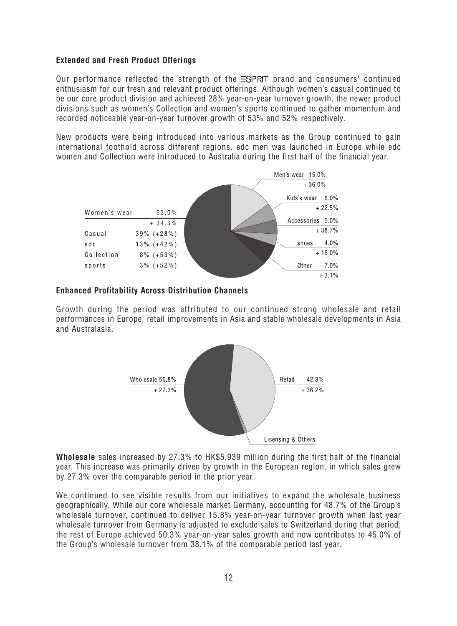# **Extended and Fresh Product Offerings**

Our performance reflected the strength of the  $\Xi$ SPR $\overline{T}$  brand and consumers' continued enthusiasm for our fresh and relevant product offerings. Although women's casual continued to be our core product division and achieved 28% year-on-year turnover growth, the newer product divisions such as women's Collection and women's sports continued to gather momentum and recorded noticeable year-on-year turnover growth of 53% and 52% respectively.

New products were being introduced into various markets as the Group continued to gain international foothold across different regions. edc men was launched in Europe while edc women and Collection were introduced to Australia during the first half of the financial year.



## **Enhanced Profitability Across Distribution Channels**

Growth during the period was attributed to our continued strong wholesale and retail performances in Europe, retail improvements in Asia and stable wholesale developments in Asia and Australasia.



**Wholesale** sales increased by 27.3% to HK\$5,939 million during the first half of the financial year. This increase was primarily driven by growth in the European region, in which sales grew by 27.3% over the comparable period in the prior year.

We continued to see visible results from our initiatives to expand the wholesale business geographically. While our core wholesale market Germany, accounting for 48.7% of the Group's wholesale turnover, continued to deliver 15.8% year-on-year turnover growth when last year wholesale turnover from Germany is adjusted to exclude sales to Switzerland during that period, the rest of Europe achieved 50.3% year-on-year sales growth and now contributes to 45.0% of the Group's wholesale turnover from 38.1% of the comparable period last year.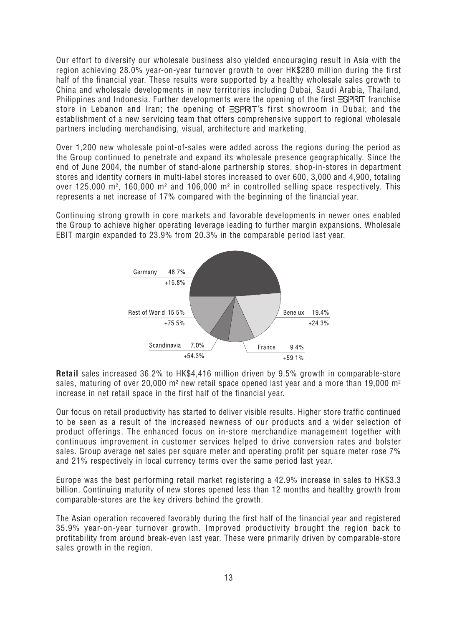Our effort to diversify our wholesale business also yielded encouraging result in Asia with the region achieving 28.0% year-on-year turnover growth to over HK\$280 million during the first half of the financial year. These results were supported by a healthy wholesale sales growth to China and wholesale developments in new territories including Dubai, Saudi Arabia, Thailand, Philippines and Indonesia. Further developments were the opening of the first  $\Xi$ SPRIT franchise store in Lebanon and Iran; the opening of  $\Xi$ SPRIT's first showroom in Dubai; and the establishment of a new servicing team that offers comprehensive support to regional wholesale partners including merchandising, visual, architecture and marketing.

Over 1,200 new wholesale point-of-sales were added across the regions during the period as the Group continued to penetrate and expand its wholesale presence geographically. Since the end of June 2004, the number of stand-alone partnership stores, shop-in-stores in department stores and identity corners in multi-label stores increased to over 600, 3,000 and 4,900, totaling over 125,000 m², 160,000 m² and 106,000 m² in controlled selling space respectively. This represents a net increase of 17% compared with the beginning of the financial year.

Continuing strong growth in core markets and favorable developments in newer ones enabled the Group to achieve higher operating leverage leading to further margin expansions. Wholesale EBIT margin expanded to 23.9% from 20.3% in the comparable period last year.



**Retail** sales increased 36.2% to HK\$4,416 million driven by 9.5% growth in comparable-store sales, maturing of over 20,000 m $^{\rm 2}$  new retail space opened last year and a more than 19,000 m $^{\rm 2}$ increase in net retail space in the first half of the financial year.

Our focus on retail productivity has started to deliver visible results. Higher store traffic continued to be seen as a result of the increased newness of our products and a wider selection of product offerings. The enhanced focus on in-store merchandize management together with continuous improvement in customer services helped to drive conversion rates and bolster sales. Group average net sales per square meter and operating profit per square meter rose 7% and 21% respectively in local currency terms over the same period last year.

Europe was the best performing retail market registering a 42.9% increase in sales to HK\$3.3 billion. Continuing maturity of new stores opened less than 12 months and healthy growth from comparable-stores are the key drivers behind the growth.

The Asian operation recovered favorably during the first half of the financial year and registered 35.9% year-on-year turnover growth. Improved productivity brought the region back to profitability from around break-even last year. These were primarily driven by comparable-store sales growth in the region.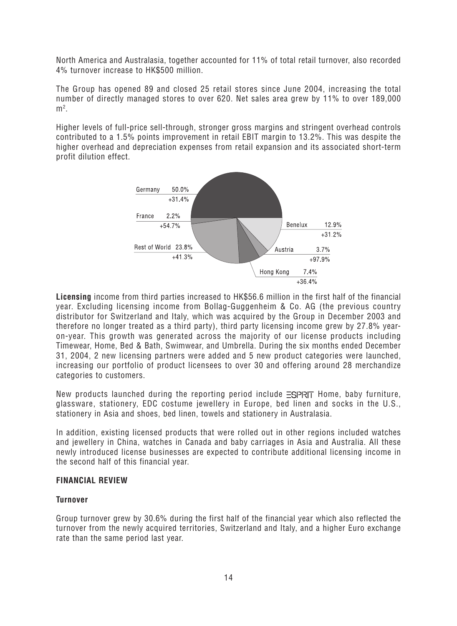North America and Australasia, together accounted for 11% of total retail turnover, also recorded 4% turnover increase to HK\$500 million.

The Group has opened 89 and closed 25 retail stores since June 2004, increasing the total number of directly managed stores to over 620. Net sales area grew by 11% to over 189,000  $m<sup>2</sup>$ .

Higher levels of full-price sell-through, stronger gross margins and stringent overhead controls contributed to a 1.5% points improvement in retail EBIT margin to 13.2%. This was despite the higher overhead and depreciation expenses from retail expansion and its associated short-term profit dilution effect.



**Licensing** income from third parties increased to HK\$56.6 million in the first half of the financial year. Excluding licensing income from Bollag-Guggenheim & Co. AG (the previous country distributor for Switzerland and Italy, which was acquired by the Group in December 2003 and therefore no longer treated as a third party), third party licensing income grew by 27.8% yearon-year. This growth was generated across the majority of our license products including Timewear, Home, Bed & Bath, Swimwear, and Umbrella. During the six months ended December 31, 2004, 2 new licensing partners were added and 5 new product categories were launched, increasing our portfolio of product licensees to over 30 and offering around 28 merchandize categories to customers.

New products launched during the reporting period include  $\equiv$ SPRIT Home, baby furniture, glassware, stationery, EDC costume jewellery in Europe, bed linen and socks in the U.S., stationery in Asia and shoes, bed linen, towels and stationery in Australasia.

In addition, existing licensed products that were rolled out in other regions included watches and jewellery in China, watches in Canada and baby carriages in Asia and Australia. All these newly introduced license businesses are expected to contribute additional licensing income in the second half of this financial year.

## **FINANCIAL REVIEW**

#### **Turnover**

Group turnover grew by 30.6% during the first half of the financial year which also reflected the turnover from the newly acquired territories, Switzerland and Italy, and a higher Euro exchange rate than the same period last year.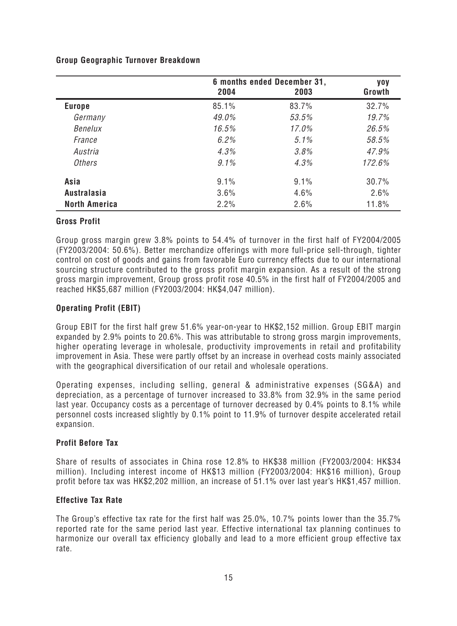|                      | 6 months ended December 31,<br>2004<br>2003 |         | <b>yoy</b><br>Growth |
|----------------------|---------------------------------------------|---------|----------------------|
|                      |                                             |         |                      |
| <b>Europe</b>        | 85.1%                                       | 83.7%   | 32.7%                |
| Germany              | 49.0%                                       | 53.5%   | 19.7%                |
| Benelux              | 16.5%                                       | 17.0%   | 26.5%                |
| France               | 6.2%                                        | $5.1\%$ | 58.5%                |
| Austria              | 4.3%                                        | 3.8%    | 47.9%                |
| <b>Others</b>        | $9.1\%$                                     | 4.3%    | 172.6%               |
| Asia                 | 9.1%                                        | 9.1%    | 30.7%                |
| <b>Australasia</b>   | 3.6%                                        | 4.6%    | 2.6%                 |
| <b>North America</b> | 2.2%                                        | 2.6%    | 11.8%                |

## **Gross Profit**

Group gross margin grew 3.8% points to 54.4% of turnover in the first half of FY2004/2005 (FY2003/2004: 50.6%). Better merchandize offerings with more full-price sell-through, tighter control on cost of goods and gains from favorable Euro currency effects due to our international sourcing structure contributed to the gross profit margin expansion. As a result of the strong gross margin improvement, Group gross profit rose 40.5% in the first half of FY2004/2005 and reached HK\$5,687 million (FY2003/2004: HK\$4,047 million).

# **Operating Profit (EBIT)**

Group EBIT for the first half grew 51.6% year-on-year to HK\$2,152 million. Group EBIT margin expanded by 2.9% points to 20.6%. This was attributable to strong gross margin improvements, higher operating leverage in wholesale, productivity improvements in retail and profitability improvement in Asia. These were partly offset by an increase in overhead costs mainly associated with the geographical diversification of our retail and wholesale operations.

Operating expenses, including selling, general & administrative expenses (SG&A) and depreciation, as a percentage of turnover increased to 33.8% from 32.9% in the same period last year. Occupancy costs as a percentage of turnover decreased by 0.4% points to 8.1% while personnel costs increased slightly by 0.1% point to 11.9% of turnover despite accelerated retail expansion.

## **Profit Before Tax**

Share of results of associates in China rose 12.8% to HK\$38 million (FY2003/2004: HK\$34 million). Including interest income of HK\$13 million (FY2003/2004: HK\$16 million), Group profit before tax was HK\$2,202 million, an increase of 51.1% over last year's HK\$1,457 million.

# **Effective Tax Rate**

The Group's effective tax rate for the first half was 25.0%, 10.7% points lower than the 35.7% reported rate for the same period last year. Effective international tax planning continues to harmonize our overall tax efficiency globally and lead to a more efficient group effective tax rate.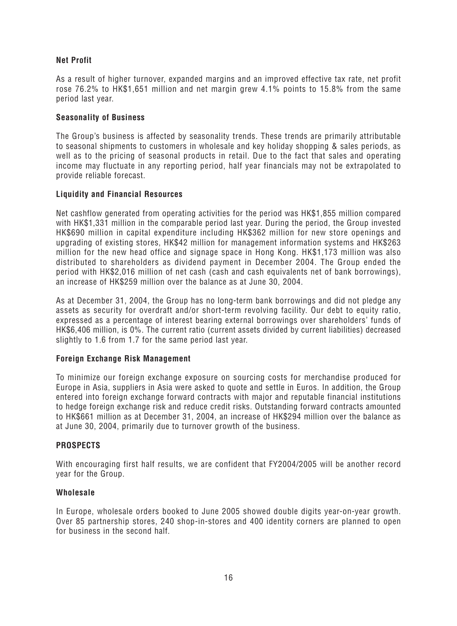# **Net Profit**

As a result of higher turnover, expanded margins and an improved effective tax rate, net profit rose 76.2% to HK\$1,651 million and net margin grew 4.1% points to 15.8% from the same period last year.

# **Seasonality of Business**

The Group's business is affected by seasonality trends. These trends are primarily attributable to seasonal shipments to customers in wholesale and key holiday shopping & sales periods, as well as to the pricing of seasonal products in retail. Due to the fact that sales and operating income may fluctuate in any reporting period, half year financials may not be extrapolated to provide reliable forecast.

# **Liquidity and Financial Resources**

Net cashflow generated from operating activities for the period was HK\$1,855 million compared with HK\$1,331 million in the comparable period last year. During the period, the Group invested HK\$690 million in capital expenditure including HK\$362 million for new store openings and upgrading of existing stores, HK\$42 million for management information systems and HK\$263 million for the new head office and signage space in Hong Kong. HK\$1,173 million was also distributed to shareholders as dividend payment in December 2004. The Group ended the period with HK\$2,016 million of net cash (cash and cash equivalents net of bank borrowings), an increase of HK\$259 million over the balance as at June 30, 2004.

As at December 31, 2004, the Group has no long-term bank borrowings and did not pledge any assets as security for overdraft and/or short-term revolving facility. Our debt to equity ratio, expressed as a percentage of interest bearing external borrowings over shareholders' funds of HK\$6,406 million, is 0%. The current ratio (current assets divided by current liabilities) decreased slightly to 1.6 from 1.7 for the same period last year.

## **Foreign Exchange Risk Management**

To minimize our foreign exchange exposure on sourcing costs for merchandise produced for Europe in Asia, suppliers in Asia were asked to quote and settle in Euros. In addition, the Group entered into foreign exchange forward contracts with major and reputable financial institutions to hedge foreign exchange risk and reduce credit risks. Outstanding forward contracts amounted to HK\$661 million as at December 31, 2004, an increase of HK\$294 million over the balance as at June 30, 2004, primarily due to turnover growth of the business.

## **PROSPECTS**

With encouraging first half results, we are confident that FY2004/2005 will be another record year for the Group.

## **Wholesale**

In Europe, wholesale orders booked to June 2005 showed double digits year-on-year growth. Over 85 partnership stores, 240 shop-in-stores and 400 identity corners are planned to open for business in the second half.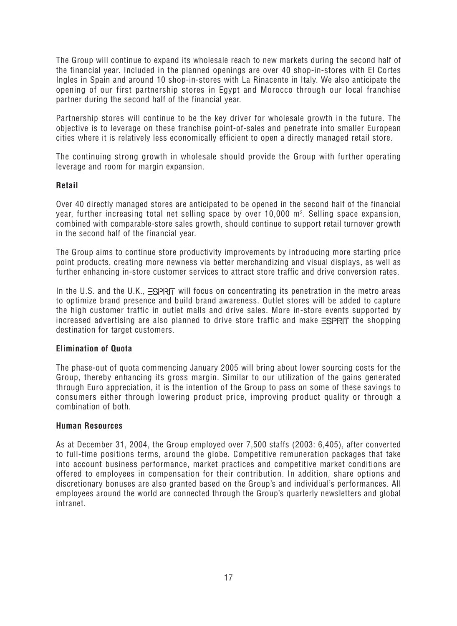The Group will continue to expand its wholesale reach to new markets during the second half of the financial year. Included in the planned openings are over 40 shop-in-stores with El Cortes Ingles in Spain and around 10 shop-in-stores with La Rinacente in Italy. We also anticipate the opening of our first partnership stores in Egypt and Morocco through our local franchise partner during the second half of the financial year.

Partnership stores will continue to be the key driver for wholesale growth in the future. The objective is to leverage on these franchise point-of-sales and penetrate into smaller European cities where it is relatively less economically efficient to open a directly managed retail store.

The continuing strong growth in wholesale should provide the Group with further operating leverage and room for margin expansion.

# **Retail**

Over 40 directly managed stores are anticipated to be opened in the second half of the financial year, further increasing total net selling space by over 10,000 m². Selling space expansion, combined with comparable-store sales growth, should continue to support retail turnover growth in the second half of the financial year.

The Group aims to continue store productivity improvements by introducing more starting price point products, creating more newness via better merchandizing and visual displays, as well as further enhancing in-store customer services to attract store traffic and drive conversion rates.

In the U.S. and the U.K.,  $\Xi$ SPRIT will focus on concentrating its penetration in the metro areas to optimize brand presence and build brand awareness. Outlet stores will be added to capture the high customer traffic in outlet malls and drive sales. More in-store events supported by increased advertising are also planned to drive store traffic and make  $\Xi$ SPRIT the shopping destination for target customers.

# **Elimination of Quota**

The phase-out of quota commencing January 2005 will bring about lower sourcing costs for the Group, thereby enhancing its gross margin. Similar to our utilization of the gains generated through Euro appreciation, it is the intention of the Group to pass on some of these savings to consumers either through lowering product price, improving product quality or through a combination of both.

## **Human Resources**

As at December 31, 2004, the Group employed over 7,500 staffs (2003: 6,405), after converted to full-time positions terms, around the globe. Competitive remuneration packages that take into account business performance, market practices and competitive market conditions are offered to employees in compensation for their contribution. In addition, share options and discretionary bonuses are also granted based on the Group's and individual's performances. All employees around the world are connected through the Group's quarterly newsletters and global intranet.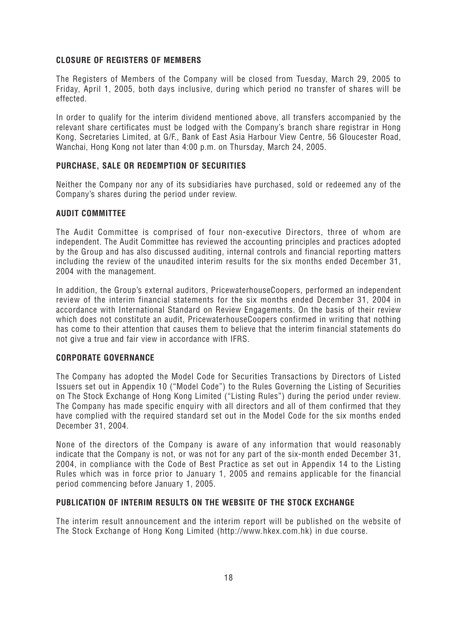## **CLOSURE OF REGISTERS OF MEMBERS**

The Registers of Members of the Company will be closed from Tuesday, March 29, 2005 to Friday, April 1, 2005, both days inclusive, during which period no transfer of shares will be effected.

In order to qualify for the interim dividend mentioned above, all transfers accompanied by the relevant share certificates must be lodged with the Company's branch share registrar in Hong Kong, Secretaries Limited, at G/F., Bank of East Asia Harbour View Centre, 56 Gloucester Road, Wanchai, Hong Kong not later than 4:00 p.m. on Thursday, March 24, 2005.

## **PURCHASE, SALE OR REDEMPTION OF SECURITIES**

Neither the Company nor any of its subsidiaries have purchased, sold or redeemed any of the Company's shares during the period under review.

## **AUDIT COMMITTEE**

The Audit Committee is comprised of four non-executive Directors, three of whom are independent. The Audit Committee has reviewed the accounting principles and practices adopted by the Group and has also discussed auditing, internal controls and financial reporting matters including the review of the unaudited interim results for the six months ended December 31, 2004 with the management.

In addition, the Group's external auditors, PricewaterhouseCoopers, performed an independent review of the interim financial statements for the six months ended December 31, 2004 in accordance with International Standard on Review Engagements. On the basis of their review which does not constitute an audit, PricewaterhouseCoopers confirmed in writing that nothing has come to their attention that causes them to believe that the interim financial statements do not give a true and fair view in accordance with IFRS.

# **CORPORATE GOVERNANCE**

The Company has adopted the Model Code for Securities Transactions by Directors of Listed Issuers set out in Appendix 10 ("Model Code") to the Rules Governing the Listing of Securities on The Stock Exchange of Hong Kong Limited ("Listing Rules") during the period under review. The Company has made specific enquiry with all directors and all of them confirmed that they have complied with the required standard set out in the Model Code for the six months ended December 31, 2004.

None of the directors of the Company is aware of any information that would reasonably indicate that the Company is not, or was not for any part of the six-month ended December 31, 2004, in compliance with the Code of Best Practice as set out in Appendix 14 to the Listing Rules which was in force prior to January 1, 2005 and remains applicable for the financial period commencing before January 1, 2005.

## **PUBLICATION OF INTERIM RESULTS ON THE WEBSITE OF THE STOCK EXCHANGE**

The interim result announcement and the interim report will be published on the website of The Stock Exchange of Hong Kong Limited (http://www.hkex.com.hk) in due course.